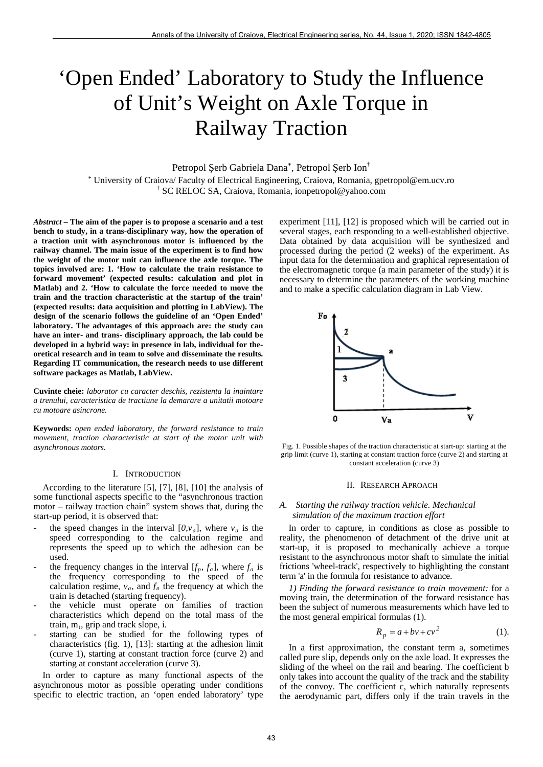# 'Open Ended' Laboratory to Study the Influence of Unit's Weight on Axle Torque in Railway Traction

Petropol Şerb Gabriela Dana\*, Petropol Şerb Ion†

\* University of Craiova/ Faculty of Electrical Engineering, Craiova, Romania, gpetropol@em.ucv.ro † SC RELOC SA, Craiova, Romania, ionpetropol@yahoo.com

*Abstract –* **The aim of the paper is to propose a scenario and a test bench to study, in a trans-disciplinary way, how the operation of a traction unit with asynchronous motor is influenced by the railway channel. The main issue of the experiment is to find how the weight of the motor unit can influence the axle torque. The topics involved are: 1. 'How to calculate the train resistance to forward movement' (expected results: calculation and plot in Matlab) and 2. 'How to calculate the force needed to move the train and the traction characteristic at the startup of the train' (expected results: data acquisition and plotting in LabView). The design of the scenario follows the guideline of an 'Open Ended' laboratory. The advantages of this approach are: the study can have an inter- and trans- disciplinary approach, the lab could be developed in a hybrid way: in presence in lab, individual for theoretical research and in team to solve and disseminate the results. Regarding IT communication, the research needs to use different software packages as Matlab, LabView.** 

**Cuvinte cheie:** *laborator cu caracter deschis, rezistenta la inaintare a trenului, caracteristica de tractiune la demarare a unitatii motoare cu motoare asincrone.* 

**Keywords:** *open ended laboratory, the forward resistance to train movement, traction characteristic at start of the motor unit with asynchronous motors.* 

## I. INTRODUCTION

According to the literature [5], [7], [8], [10] the analysis of some functional aspects specific to the "asynchronous traction motor – railway traction chain" system shows that, during the start-up period, it is observed that:

- the speed changes in the interval  $[0, v_a]$ , where  $v_a$  is the speed corresponding to the calculation regime and represents the speed up to which the adhesion can be used.
- the frequency changes in the interval  $[f_p, f_a]$ , where  $f_a$  is the frequency corresponding to the speed of the calculation regime,  $v_a$ , and  $f_p$  the frequency at which the train is detached (starting frequency).
- the vehicle must operate on families of traction characteristics which depend on the total mass of the train,  $m_t$ , grip and track slope, i.
- starting can be studied for the following types of characteristics (fig. 1), [13]: starting at the adhesion limit (curve 1), starting at constant traction force (curve 2) and starting at constant acceleration (curve 3).

In order to capture as many functional aspects of the asynchronous motor as possible operating under conditions specific to electric traction, an 'open ended laboratory' type experiment [11], [12] is proposed which will be carried out in several stages, each responding to a well-established objective. Data obtained by data acquisition will be synthesized and processed during the period (2 weeks) of the experiment. As input data for the determination and graphical representation of the electromagnetic torque (a main parameter of the study) it is necessary to determine the parameters of the working machine and to make a specific calculation diagram in Lab View.



Fig. 1. Possible shapes of the traction characteristic at start-up: starting at the grip limit (curve 1), starting at constant traction force (curve 2) and starting at constant acceleration (curve 3)

## II. RESEARCH APROACH

## *A. Starting the railway traction vehicle. Mechanical simulation of the maximum traction effort*

In order to capture, in conditions as close as possible to reality, the phenomenon of detachment of the drive unit at start-up, it is proposed to mechanically achieve a torque resistant to the asynchronous motor shaft to simulate the initial frictions 'wheel-track', respectively to highlighting the constant term 'a' in the formula for resistance to advance.

*1) Finding the forward resistance to train movement:* for a moving train, the determination of the forward resistance has been the subject of numerous measurements which have led to the most general empirical formulas (1).

$$
R_p = a + bv + cv^2 \tag{1}
$$

In a first approximation, the constant term a, sometimes called pure slip, depends only on the axle load. It expresses the sliding of the wheel on the rail and bearing. The coefficient b only takes into account the quality of the track and the stability of the convoy. The coefficient c, which naturally represents the aerodynamic part, differs only if the train travels in the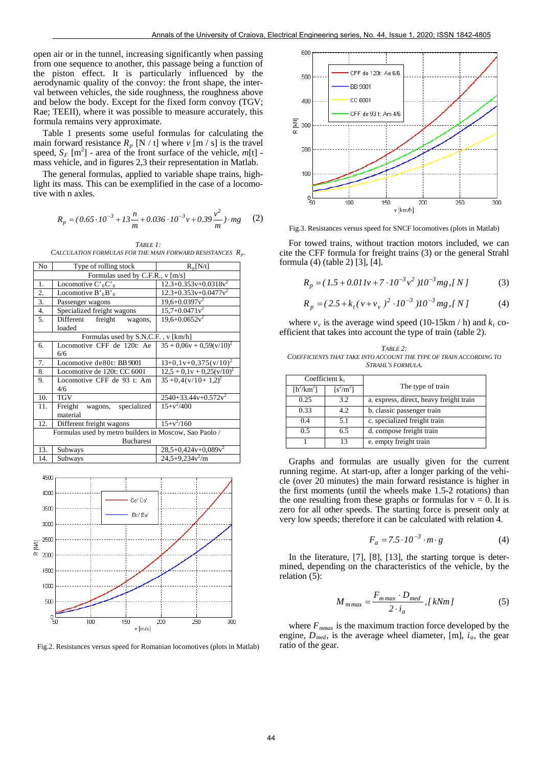open air or in the tunnel, increasing significantly when passing from one sequence to another, this passage being a function of the piston effect. It is particularly influenced by the aerodynamic quality of the convoy: the front shape, the interval between vehicles, the side roughness, the roughness above and below the body. Except for the fixed form convoy (TGV; Rae; TEEII), where it was possible to measure accurately, this formula remains very approximate.

Table 1 presents some useful formulas for calculating the main forward resistance  $R_p$  [N / t] where  $v$  [m / s] is the travel speed,  $S_F$  [m<sup>2</sup>] - area of the front surface of the vehicle,  $m[t]$  mass vehicle, and in figures 2,3 their representation in Matlab.

The general formulas, applied to variable shape trains, highlight its mass. This can be exemplified in the case of a locomotive with n axles.

$$
R_p = (0.65 \cdot 10^{-3} + 13 \frac{n}{m} + 0.036 \cdot 10^{-3} v + 0.39 \frac{v^2}{m}) \cdot mg \tag{2}
$$

*TABLE 1: CALCULATION FORMULAS FOR THE MAIN FORWARD RESISTANCES Rp* .

| No                                                     | Type of rolling stock                 | $R_p[N/t]$                   |  |  |
|--------------------------------------------------------|---------------------------------------|------------------------------|--|--|
| Formulas used by C.F.R., v [m/s]                       |                                       |                              |  |  |
| 1.                                                     | Locomotive $C_0^{\prime}C_0^{\prime}$ | $12.3+0.353v+0.0318v^2$      |  |  |
| $\mathbf{2}$ .                                         | Locomotive $B'_{0}B'_{0}$             | $12.3+0.353v+0.0477v^2$      |  |  |
| 3.                                                     | Passenger wagons                      | $19,6+0.0397v^2$             |  |  |
| 4.                                                     | Specialized freight wagons            | $15,7+0.0471v^2$             |  |  |
| 5.                                                     | Different<br>freight<br>wagons,       | $19,6+0.0652v^2$             |  |  |
|                                                        | loaded                                |                              |  |  |
| Formulas used by S.N.C.F., v [km/h]                    |                                       |                              |  |  |
| 6.                                                     | Locomotive CFF de 120t: Ae            | $35 + 0.06v + 0.59(v/10)^2$  |  |  |
|                                                        | 6/6                                   |                              |  |  |
| 7.                                                     | Locomotive de80t: BB 9001             | $13+0, 1v+0, 375(v/10)^2$    |  |  |
| 8.                                                     | Locomotive de 120t: CC 6001           | $12.5 + 0.1v + 0.25(v/10)^2$ |  |  |
| 9.                                                     | Locomotive CFF de 93 t: Am<br>4/6     | $35 + 0,4(v/10+1,2)^2$       |  |  |
| 10.                                                    | <b>TGV</b>                            | $2540+33.44v+0.572v^2$       |  |  |
| 11.                                                    | Freight<br>wagons, specialized        | $15+x^2/400$                 |  |  |
|                                                        | material                              |                              |  |  |
| 12.                                                    | Different freight wagons              | $15+y^2/160$                 |  |  |
| Formulas used by metro builders in Moscow, Sao Paolo / |                                       |                              |  |  |
| <b>Bucharest</b>                                       |                                       |                              |  |  |
| 13.                                                    | Subways                               | $28,5+0,424v+0,089v^2$       |  |  |
| 14.                                                    | Subways                               | $24,5+9,234v^2/m$            |  |  |



Fig.2. Resistances versus speed for Romanian locomotives (plots in Matlab)



Fig.3. Resistances versus speed for SNCF locomotives (plots in Matlab)

For towed trains, without traction motors included, we can cite the CFF formula for freight trains (3) or the general Strahl formula (4) (table 2) [3], [4].

$$
R_p = (1.5 + 0.011v + 7 \cdot 10^{-3}v^2)10^{-3}mg, [N]
$$
 (3)

$$
R_p = (2.5 + k_t (v + v_v)^2 \cdot 10^{-3} )10^{-3} mg, [N] \tag{4}
$$

where  $v_y$  is the average wind speed (10-15km / h) and  $k_t$  coefficient that takes into account the type of train (table 2).

*TABLE 2: COEFFICIENTS THAT TAKE INTO ACCOUNT THE TYPE OF TRAIN ACCORDING TO STRAHL'S FORMULA.*

|              | Coefficient $k_{t}$ |                                         |
|--------------|---------------------|-----------------------------------------|
| $[h^2/km^2]$ | $[s^2/m^2]$         | The type of train                       |
| 0.25         | 3.2                 | a. express, direct, heavy freight train |
| 0.33         | 42.                 | b. classic passenger train              |
| 0.4          | 5.1                 | c. specialized freight train            |
| 0.5          | 6.5                 | d. compose freight train                |
|              | 13                  | e. empty freight train                  |

Graphs and formulas are usually given for the current running regime. At start-up, after a longer parking of the vehicle (over 20 minutes) the main forward resistance is higher in the first moments (until the wheels make 1.5-2 rotations) than the one resulting from these graphs or formulas for  $v = 0$ . It is zero for all other speeds. The starting force is present only at very low speeds; therefore it can be calculated with relation 4.

$$
F_a = 7.5 \cdot 10^{-3} \cdot m \cdot g \tag{4}
$$

In the literature, [7], [8], [13], the starting torque is determined, depending on the characteristics of the vehicle, by the relation (5):

$$
M_{mmax} = \frac{F_{mmax} \cdot D_{med}}{2 \cdot i_a}, [kNm]
$$
 (5)

where  $F_{\text{mmax}}$  is the maximum traction force developed by the engine,  $D_{med}$ , is the average wheel diameter, [m],  $i_a$ , the gear ratio of the gear.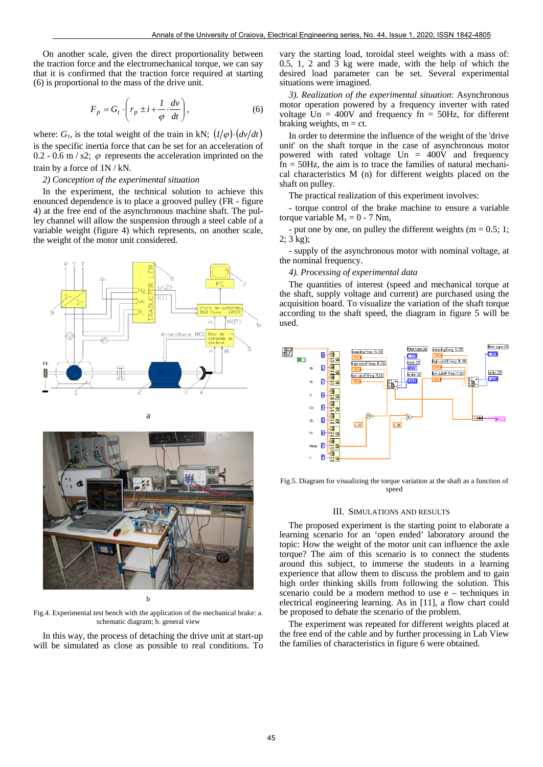On another scale, given the direct proportionality between the traction force and the electromechanical torque, we can say that it is confirmed that the traction force required at starting (6) is proportional to the mass of the drive unit.

$$
F_p = G_t \cdot \left( r_p \pm i + \frac{1}{\varphi} \cdot \frac{dv}{dt} \right),\tag{6}
$$

where:  $G_t$ , is the total weight of the train in kN;  $(1/\varphi) \cdot (dv/dt)$ is the specific inertia force that can be set for an acceleration of 0.2 - 0.6 m / s2;  $\varphi$  represents the acceleration imprinted on the train by a force of 1N / kN.

### *2) Conception of the experimental situation*

In the experiment, the technical solution to achieve this enounced dependence is to place a grooved pulley (FR - figure 4) at the free end of the asynchronous machine shaft. The pulley channel will allow the suspension through a steel cable of a variable weight (figure 4) which represents, on another scale, the weight of the motor unit considered.



b

Fig.4. Experimental test bench with the application of the mechanical brake: a. schematic diagram; b. general view

In this way, the process of detaching the drive unit at start-up will be simulated as close as possible to real conditions. To

vary the starting load, toroidal steel weights with a mass of: 0.5, 1, 2 and 3 kg were made, with the help of which the desired load parameter can be set. Several experimental situations were imagined.

*3). Realization of the experimental situation*: Asynchronous motor operation powered by a frequency inverter with rated voltage  $Un = 400V$  and frequency  $fn = 50Hz$ , for different braking weights,  $m = ct$ .

In order to determine the influence of the weight of the 'drive unit' on the shaft torque in the case of asynchronous motor powered with rated voltage  $Un = 400V$  and frequency  $fn = 50Hz$ , the aim is to trace the families of natural mechanical characteristics M (n) for different weights placed on the shaft on pulley.

The practical realization of this experiment involves:

- torque control of the brake machine to ensure a variable torque variable  $M_r = 0 - 7$  Nm,

put one by one, on pulley the different weights ( $m = 0.5$ ; 1; 2; 3 kg);

- supply of the asynchronous motor with nominal voltage, at the nominal frequency.

### *4). Processing of experimental data*

The quantities of interest (speed and mechanical torque at the shaft, supply voltage and current) are purchased using the acquisition board. To visualize the variation of the shaft torque according to the shaft speed, the diagram in figure 5 will be used.



Fig.5. Diagram for visualizing the torque variation at the shaft as a function of speed

## III. SIMULATIONS AND RESULTS

The proposed experiment is the starting point to elaborate a learning scenario for an 'open ended' laboratory around the topic: How the weight of the motor unit can influence the axle torque? The aim of this scenario is to connect the students around this subject, to immerse the students in a learning experience that allow them to discuss the problem and to gain high order thinking skills from following the solution. This scenario could be a modern method to use e – techniques in electrical engineering learning. As in [11], a flow chart could be proposed to debate the scenario of the problem.

The experiment was repeated for different weights placed at the free end of the cable and by further processing in Lab View the families of characteristics in figure 6 were obtained.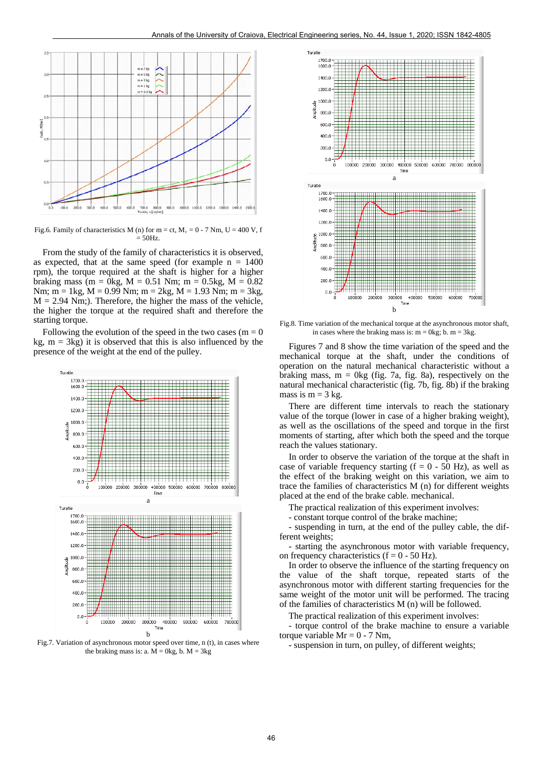

Fig.6. Family of characteristics M (n) for m = ct,  $M_r = 0 - 7$  Nm, U = 400 V, f  $=$  50Hz.

From the study of the family of characteristics it is observed, as expected, that at the same speed (for example  $n = 1400$ rpm), the torque required at the shaft is higher for a higher braking mass (m = 0kg, M = 0.51 Nm; m = 0.5kg, M = 0.82 Nm;  $m = 1kg$ ,  $M = 0.99$  Nm;  $m = 2kg$ ,  $M = 1.93$  Nm;  $m = 3kg$ ,  $M = 2.94$  Nm;). Therefore, the higher the mass of the vehicle, the higher the torque at the required shaft and therefore the starting torque.

Following the evolution of the speed in the two cases ( $m = 0$ ) kg,  $m = 3kg$ ) it is observed that this is also influenced by the presence of the weight at the end of the pulley.



Fig.7. Variation of asynchronous motor speed over time, n (t), in cases where the braking mass is: a.  $M = 0kg$ , b.  $M = 3kg$ 



Fig.8. Time variation of the mechanical torque at the asynchronous motor shaft, in cases where the braking mass is:  $m = 0$ kg; b.  $m = 3$ kg.

Figures 7 and 8 show the time variation of the speed and the mechanical torque at the shaft, under the conditions of operation on the natural mechanical characteristic without a braking mass,  $m = 0$ kg (fig. 7a, fig. 8a), respectively on the natural mechanical characteristic (fig. 7b, fig. 8b) if the braking mass is  $m = 3$  kg.

There are different time intervals to reach the stationary value of the torque (lower in case of a higher braking weight), as well as the oscillations of the speed and torque in the first moments of starting, after which both the speed and the torque reach the values stationary.

In order to observe the variation of the torque at the shaft in case of variable frequency starting  $(f = 0 - 50 \text{ Hz})$ , as well as the effect of the braking weight on this variation, we aim to trace the families of characteristics M (n) for different weights placed at the end of the brake cable. mechanical.

The practical realization of this experiment involves:

- constant torque control of the brake machine;

- suspending in turn, at the end of the pulley cable, the different weights;

- starting the asynchronous motor with variable frequency, on frequency characteristics ( $f = 0 - 50$  Hz).

In order to observe the influence of the starting frequency on the value of the shaft torque, repeated starts of the asynchronous motor with different starting frequencies for the same weight of the motor unit will be performed. The tracing of the families of characteristics M (n) will be followed.

The practical realization of this experiment involves:

- torque control of the brake machine to ensure a variable torque variable  $Mr = 0 - 7 Nm$ ,

- suspension in turn, on pulley, of different weights;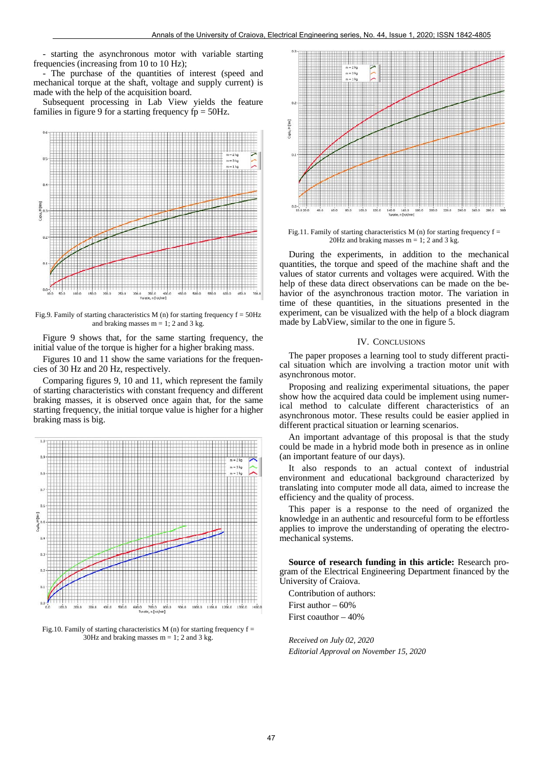- starting the asynchronous motor with variable starting frequencies (increasing from 10 to 10 Hz);

- The purchase of the quantities of interest (speed and mechanical torque at the shaft, voltage and supply current) is made with the help of the acquisition board.

Subsequent processing in Lab View yields the feature families in figure 9 for a starting frequency  $fp = 50Hz$ .



Fig.9. Family of starting characteristics M (n) for starting frequency  $f = 50$ Hz and braking masses  $m = 1$ ; 2 and 3 kg.

Figure 9 shows that, for the same starting frequency, the initial value of the torque is higher for a higher braking mass.

Figures 10 and 11 show the same variations for the frequencies of 30 Hz and 20 Hz, respectively.

Comparing figures 9, 10 and 11, which represent the family of starting characteristics with constant frequency and different braking masses, it is observed once again that, for the same starting frequency, the initial torque value is higher for a higher braking mass is big.



Fig.10. Family of starting characteristics M (n) for starting frequency  $f =$ 30Hz and braking masses  $m = 1$ ; 2 and 3 kg.



Fig.11. Family of starting characteristics  $M$  (n) for starting frequency  $f =$ 20Hz and braking masses  $m = 1$ ; 2 and 3 kg.

During the experiments, in addition to the mechanical quantities, the torque and speed of the machine shaft and the values of stator currents and voltages were acquired. With the help of these data direct observations can be made on the behavior of the asynchronous traction motor. The variation in time of these quantities, in the situations presented in the experiment, can be visualized with the help of a block diagram made by LabView, similar to the one in figure 5.

## IV. CONCLUSIONS

The paper proposes a learning tool to study different practical situation which are involving a traction motor unit with asynchronous motor.

Proposing and realizing experimental situations, the paper show how the acquired data could be implement using numerical method to calculate different characteristics of an asynchronous motor. These results could be easier applied in different practical situation or learning scenarios.

An important advantage of this proposal is that the study could be made in a hybrid mode both in presence as in online (an important feature of our days).

It also responds to an actual context of industrial environment and educational background characterized by translating into computer mode all data, aimed to increase the efficiency and the quality of process.

This paper is a response to the need of organized the knowledge in an authentic and resourceful form to be effortless applies to improve the understanding of operating the electromechanical systems.

**Source of research funding in this article:** Research program of the Electrical Engineering Department financed by the University of Craiova.

Contribution of authors: First author – 60%

First coauthor – 40%

*Received on July 02, 2020 Editorial Approval on November 15, 2020*